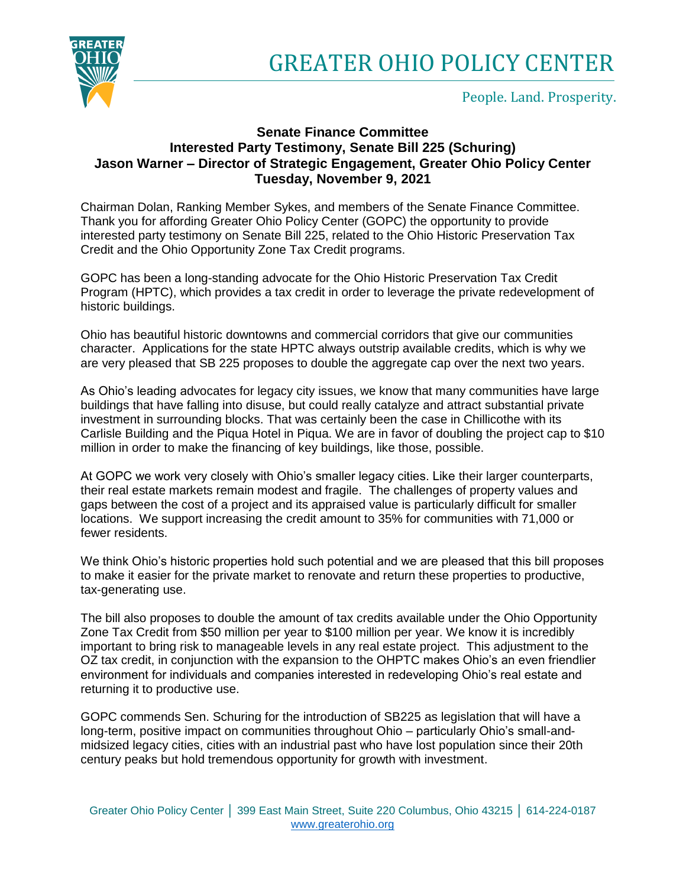

People. Land. Prosperity.

## **Senate Finance Committee Interested Party Testimony, Senate Bill 225 (Schuring) Jason Warner – Director of Strategic Engagement, Greater Ohio Policy Center Tuesday, November 9, 2021**

Chairman Dolan, Ranking Member Sykes, and members of the Senate Finance Committee. Thank you for affording Greater Ohio Policy Center (GOPC) the opportunity to provide interested party testimony on Senate Bill 225, related to the Ohio Historic Preservation Tax Credit and the Ohio Opportunity Zone Tax Credit programs.

GOPC has been a long-standing advocate for the Ohio Historic Preservation Tax Credit Program (HPTC), which provides a tax credit in order to leverage the private redevelopment of historic buildings.

Ohio has beautiful historic downtowns and commercial corridors that give our communities character. Applications for the state HPTC always outstrip available credits, which is why we are very pleased that SB 225 proposes to double the aggregate cap over the next two years.

As Ohio's leading advocates for legacy city issues, we know that many communities have large buildings that have falling into disuse, but could really catalyze and attract substantial private investment in surrounding blocks. That was certainly been the case in Chillicothe with its Carlisle Building and the Piqua Hotel in Piqua. We are in favor of doubling the project cap to \$10 million in order to make the financing of key buildings, like those, possible.

At GOPC we work very closely with Ohio's smaller legacy cities. Like their larger counterparts, their real estate markets remain modest and fragile. The challenges of property values and gaps between the cost of a project and its appraised value is particularly difficult for smaller locations. We support increasing the credit amount to 35% for communities with 71,000 or fewer residents.

We think Ohio's historic properties hold such potential and we are pleased that this bill proposes to make it easier for the private market to renovate and return these properties to productive, tax-generating use.

The bill also proposes to double the amount of tax credits available under the Ohio Opportunity Zone Tax Credit from \$50 million per year to \$100 million per year. We know it is incredibly important to bring risk to manageable levels in any real estate project. This adjustment to the OZ tax credit, in conjunction with the expansion to the OHPTC makes Ohio's an even friendlier environment for individuals and companies interested in redeveloping Ohio's real estate and returning it to productive use.

GOPC commends Sen. Schuring for the introduction of SB225 as legislation that will have a long-term, positive impact on communities throughout Ohio – particularly Ohio's small-andmidsized legacy cities, cities with an industrial past who have lost population since their 20th century peaks but hold tremendous opportunity for growth with investment.